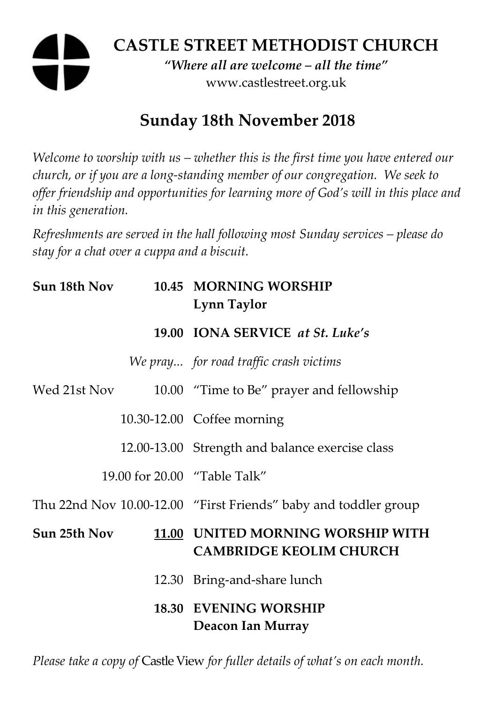# **CASTLE STREET METHODIST CHURCH**

*"Where all are welcome – all the time"*  www.castlestreet.org.uk

## **Sunday 18th November 2018**

*Welcome to worship with us – whether this is the first time you have entered our church, or if you are a long-standing member of our congregation. We seek to offer friendship and opportunities for learning more of God's will in this place and in this generation.* 

*Refreshments are served in the hall following most Sunday services – please do stay for a chat over a cuppa and a biscuit.* 

| Sun 18th Nov | 10.45 MORNING WORSHIP<br>Lynn Taylor                                |
|--------------|---------------------------------------------------------------------|
|              | 19.00 IONA SERVICE at St. Luke's                                    |
|              | We pray for road traffic crash victims                              |
| Wed 21st Nov | 10.00 "Time to Be" prayer and fellowship                            |
|              | 10.30-12.00 Coffee morning                                          |
|              | 12.00-13.00 Strength and balance exercise class                     |
|              | 19.00 for 20.00 "Table Talk"                                        |
|              | Thu 22nd Nov 10.00-12.00 "First Friends" baby and toddler group     |
| Sun 25th Nov | 11.00 UNITED MORNING WORSHIP WITH<br><b>CAMBRIDGE KEOLIM CHURCH</b> |
|              | 12.30 Bring-and-share lunch                                         |
|              | <b>18.30 EVENING WORSHIP</b><br>Deacon Ian Murray                   |

*Please take a copy of* Castle View *for fuller details of what's on each month.*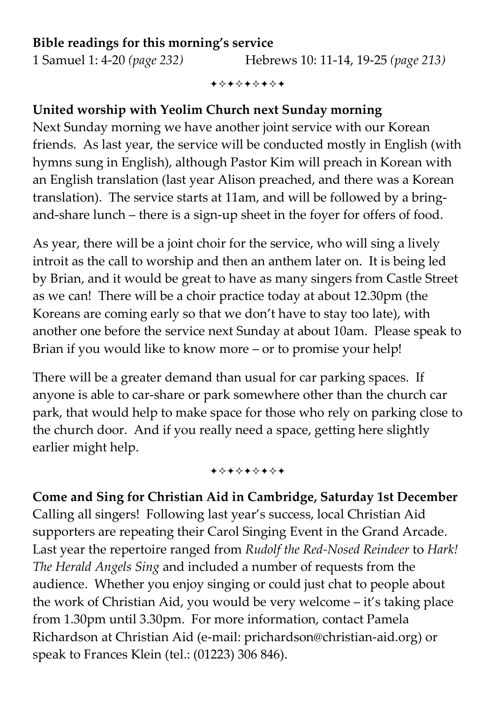#### **Bible readings for this morning's service**

1 Samuel 1: 4-20 *(page 232)* Hebrews 10: 11-14, 19-25 *(page 213)*

+\*\*\*\*\*\*\*

#### **United worship with Yeolim Church next Sunday morning**

Next Sunday morning we have another joint service with our Korean friends. As last year, the service will be conducted mostly in English (with hymns sung in English), although Pastor Kim will preach in Korean with an English translation (last year Alison preached, and there was a Korean translation). The service starts at 11am, and will be followed by a bringand-share lunch – there is a sign-up sheet in the foyer for offers of food.

As year, there will be a joint choir for the service, who will sing a lively introit as the call to worship and then an anthem later on. It is being led by Brian, and it would be great to have as many singers from Castle Street as we can! There will be a choir practice today at about 12.30pm (the Koreans are coming early so that we don't have to stay too late), with another one before the service next Sunday at about 10am. Please speak to Brian if you would like to know more – or to promise your help!

There will be a greater demand than usual for car parking spaces. If anyone is able to car-share or park somewhere other than the church car park, that would help to make space for those who rely on parking close to the church door. And if you really need a space, getting here slightly earlier might help.

+\*\*\*\*\*\*\*

**Come and Sing for Christian Aid in Cambridge, Saturday 1st December**  Calling all singers! Following last year's success, local Christian Aid supporters are repeating their Carol Singing Event in the Grand Arcade. Last year the repertoire ranged from *Rudolf the Red-Nosed Reindeer* to *Hark! The Herald Angels Sing* and included a number of requests from the audience. Whether you enjoy singing or could just chat to people about the work of Christian Aid, you would be very welcome – it's taking place from 1.30pm until 3.30pm. For more information, contact Pamela Richardson at Christian Aid (e-mail: prichardson@christian-aid.org) or speak to Frances Klein (tel.: (01223) 306 846).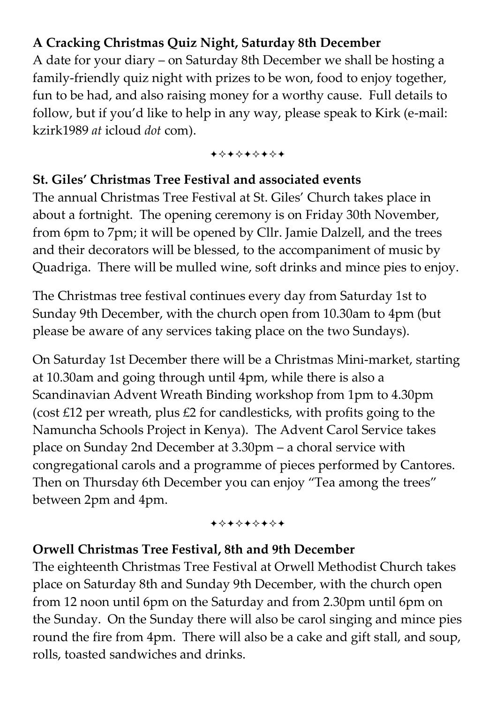### **A Cracking Christmas Quiz Night, Saturday 8th December**

A date for your diary – on Saturday 8th December we shall be hosting a family-friendly quiz night with prizes to be won, food to enjoy together, fun to be had, and also raising money for a worthy cause. Full details to follow, but if you'd like to help in any way, please speak to Kirk (e-mail: kzirk1989 *at* icloud *dot* com).

+\*\*\*\*\*\*\*

#### **St. Giles' Christmas Tree Festival and associated events**

The annual Christmas Tree Festival at St. Giles' Church takes place in about a fortnight. The opening ceremony is on Friday 30th November, from 6pm to 7pm; it will be opened by Cllr. Jamie Dalzell, and the trees and their decorators will be blessed, to the accompaniment of music by Quadriga. There will be mulled wine, soft drinks and mince pies to enjoy.

The Christmas tree festival continues every day from Saturday 1st to Sunday 9th December, with the church open from 10.30am to 4pm (but please be aware of any services taking place on the two Sundays).

On Saturday 1st December there will be a Christmas Mini-market, starting at 10.30am and going through until 4pm, while there is also a Scandinavian Advent Wreath Binding workshop from 1pm to 4.30pm (cost £12 per wreath, plus £2 for candlesticks, with profits going to the Namuncha Schools Project in Kenya). The Advent Carol Service takes place on Sunday 2nd December at 3.30pm – a choral service with congregational carols and a programme of pieces performed by Cantores. Then on Thursday 6th December you can enjoy "Tea among the trees" between 2pm and 4pm.

#### +\*\*\*\*\*\*\*

#### **Orwell Christmas Tree Festival, 8th and 9th December**

The eighteenth Christmas Tree Festival at Orwell Methodist Church takes place on Saturday 8th and Sunday 9th December, with the church open from 12 noon until 6pm on the Saturday and from 2.30pm until 6pm on the Sunday. On the Sunday there will also be carol singing and mince pies round the fire from 4pm. There will also be a cake and gift stall, and soup, rolls, toasted sandwiches and drinks.